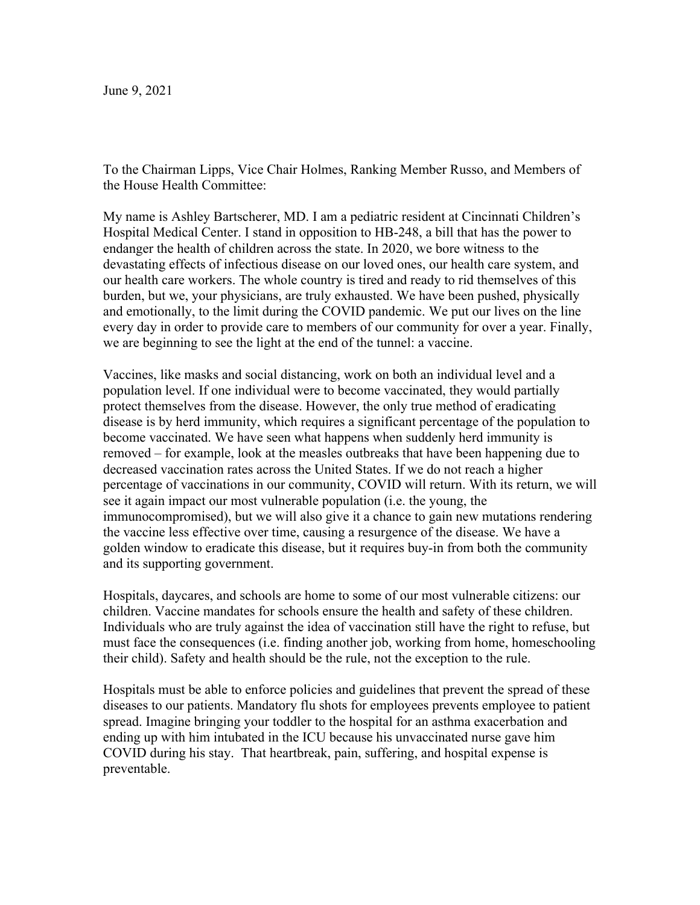To the Chairman Lipps, Vice Chair Holmes, Ranking Member Russo, and Members of the House Health Committee:

My name is Ashley Bartscherer, MD. I am a pediatric resident at Cincinnati Children's Hospital Medical Center. I stand in opposition to HB-248, a bill that has the power to endanger the health of children across the state. In 2020, we bore witness to the devastating effects of infectious disease on our loved ones, our health care system, and our health care workers. The whole country is tired and ready to rid themselves of this burden, but we, your physicians, are truly exhausted. We have been pushed, physically and emotionally, to the limit during the COVID pandemic. We put our lives on the line every day in order to provide care to members of our community for over a year. Finally, we are beginning to see the light at the end of the tunnel: a vaccine.

Vaccines, like masks and social distancing, work on both an individual level and a population level. If one individual were to become vaccinated, they would partially protect themselves from the disease. However, the only true method of eradicating disease is by herd immunity, which requires a significant percentage of the population to become vaccinated. We have seen what happens when suddenly herd immunity is removed – for example, look at the measles outbreaks that have been happening due to decreased vaccination rates across the United States. If we do not reach a higher percentage of vaccinations in our community, COVID will return. With its return, we will see it again impact our most vulnerable population (i.e. the young, the immunocompromised), but we will also give it a chance to gain new mutations rendering the vaccine less effective over time, causing a resurgence of the disease. We have a golden window to eradicate this disease, but it requires buy-in from both the community and its supporting government.

Hospitals, daycares, and schools are home to some of our most vulnerable citizens: our children. Vaccine mandates for schools ensure the health and safety of these children. Individuals who are truly against the idea of vaccination still have the right to refuse, but must face the consequences (i.e. finding another job, working from home, homeschooling their child). Safety and health should be the rule, not the exception to the rule.

Hospitals must be able to enforce policies and guidelines that prevent the spread of these diseases to our patients. Mandatory flu shots for employees prevents employee to patient spread. Imagine bringing your toddler to the hospital for an asthma exacerbation and ending up with him intubated in the ICU because his unvaccinated nurse gave him COVID during his stay. That heartbreak, pain, suffering, and hospital expense is preventable.